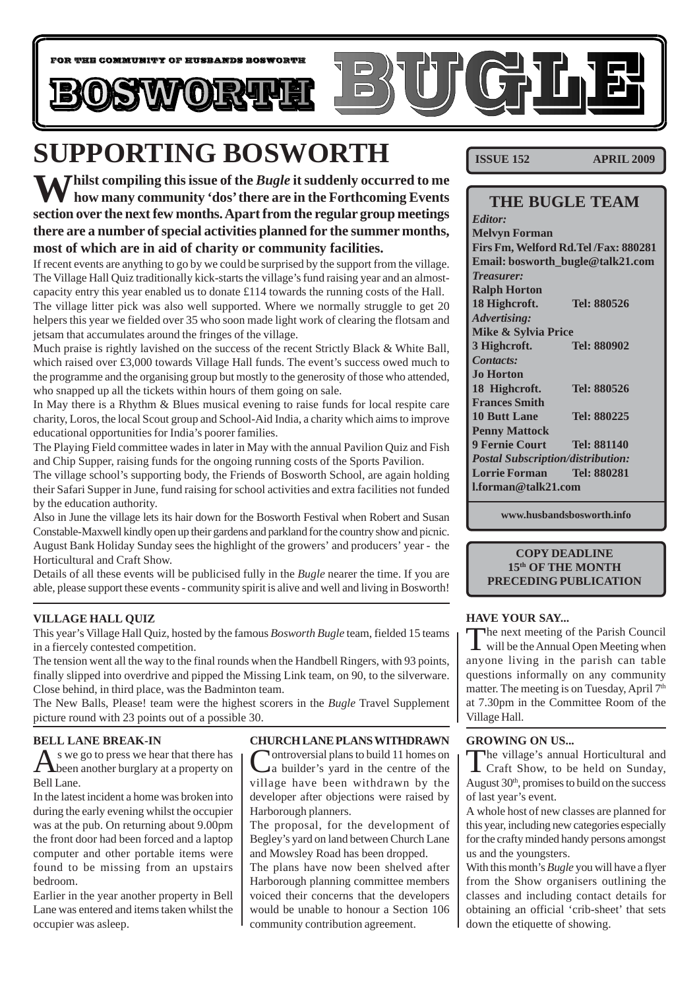

# **SUPPORTING BOSWORTH**

**K 7** Thilst compiling this issue of the *Bugle* it suddenly occurred to me **how many community 'dos' there are in the Forthcoming Events section over the next few months. Apart from the regular group meetings there are a number of special activities planned for the summer months, most of which are in aid of charity or community facilities.**

If recent events are anything to go by we could be surprised by the support from the village. The Village Hall Quiz traditionally kick-starts the village's fund raising year and an almostcapacity entry this year enabled us to donate £114 towards the running costs of the Hall. The village litter pick was also well supported. Where we normally struggle to get 20 helpers this year we fielded over 35 who soon made light work of clearing the flotsam and jetsam that accumulates around the fringes of the village.

Much praise is rightly lavished on the success of the recent Strictly Black & White Ball, which raised over £3,000 towards Village Hall funds. The event's success owed much to the programme and the organising group but mostly to the generosity of those who attended, who snapped up all the tickets within hours of them going on sale.

In May there is a Rhythm & Blues musical evening to raise funds for local respite care charity, Loros, the local Scout group and School-Aid India, a charity which aims to improve educational opportunities for India's poorer families.

The Playing Field committee wades in later in May with the annual Pavilion Quiz and Fish and Chip Supper, raising funds for the ongoing running costs of the Sports Pavilion.

The village school's supporting body, the Friends of Bosworth School, are again holding their Safari Supper in June, fund raising for school activities and extra facilities not funded by the education authority.

Also in June the village lets its hair down for the Bosworth Festival when Robert and Susan Constable-Maxwell kindly open up their gardens and parkland for the country show and picnic. August Bank Holiday Sunday sees the highlight of the growers' and producers' year - the Horticultural and Craft Show.

Details of all these events will be publicised fully in the *Bugle* nearer the time. If you are able, please support these events - community spirit is alive and well and living in Bosworth!

#### **VILLAGE HALL QUIZ**

This year's Village Hall Quiz, hosted by the famous *Bosworth Bugle* team, fielded 15 teams in a fiercely contested competition.

The tension went all the way to the final rounds when the Handbell Ringers, with 93 points, finally slipped into overdrive and pipped the Missing Link team, on 90, to the silverware. Close behind, in third place, was the Badminton team.

The New Balls, Please! team were the highest scorers in the *Bugle* Travel Supplement picture round with 23 points out of a possible 30.

#### **BELL LANE BREAK-IN**

 $\bigwedge$ s we go to press we hear that there has<br>been another burglary at a property on Bell Lane.

In the latest incident a home was broken into during the early evening whilst the occupier was at the pub. On returning about 9.00pm the front door had been forced and a laptop computer and other portable items were found to be missing from an upstairs bedroom.

Earlier in the year another property in Bell Lane was entered and items taken whilst the occupier was asleep.

#### **CHURCH LANE PLANS WITHDRAWN**

Controversial plans to build 11 homes on a builder's yard in the centre of the village have been withdrawn by the developer after objections were raised by Harborough planners.

The proposal, for the development of Begley's yard on land between Church Lane and Mowsley Road has been dropped.

The plans have now been shelved after Harborough planning committee members voiced their concerns that the developers would be unable to honour a Section 106 community contribution agreement.

**ISSUE 152 APRIL 2009**

#### **THE BUGLE TEAM**

*Editor:* **Melvyn Forman Firs Fm, Welford Rd.Tel /Fax: 880281 Email: bosworth\_bugle@talk21.com** *Treasurer:* **Ralph Horton 18 Highcroft. Tel: 880526** *Advertising:* **Mike & Sylvia Price 3 Highcroft. Tel: 880902** *Contacts:* **Jo Horton 18 Highcroft. Tel: 880526 Frances Smith 10 Butt Lane Tel: 880225 Penny Mattock 9 Fernie Court Tel: 881140** *Postal Subscription/distribution:* **Lorrie Forman Tel: 880281 l.forman@talk21.com**

**www.husbandsbosworth.info**

#### **COPY DEADLINE 15th OF THE MONTH PRECEDING PUBLICATION**

#### **HAVE YOUR SAY...**

The next meeting of the Parish Council will be the Annual Open Meeting when anyone living in the parish can table questions informally on any community matter. The meeting is on Tuesday, April 7<sup>th</sup> at 7.30pm in the Committee Room of the Village Hall.

#### **GROWING ON US...**

The village's annual Horticultural and Craft Show, to be held on Sunday, August  $30<sup>th</sup>$ , promises to build on the success of last year's event.

A whole host of new classes are planned for this year, including new categories especially for the crafty minded handy persons amongst us and the youngsters.

With this month's *Bugle* you will have a flyer from the Show organisers outlining the classes and including contact details for obtaining an official 'crib-sheet' that sets down the etiquette of showing.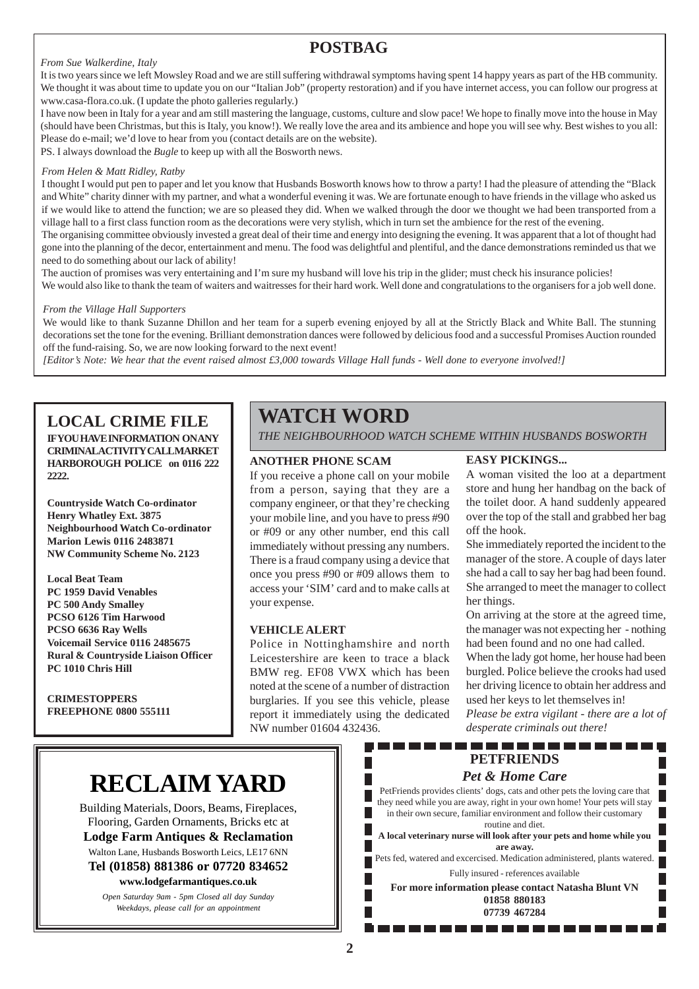### **POSTBAG**

#### *From Sue Walkerdine, Italy*

It is two years since we left Mowsley Road and we are still suffering withdrawal symptoms having spent 14 happy years as part of the HB community. We thought it was about time to update you on our "Italian Job" (property restoration) and if you have internet access, you can follow our progress at www.casa-flora.co.uk. (I update the photo galleries regularly.)

I have now been in Italy for a year and am still mastering the language, customs, culture and slow pace! We hope to finally move into the house in May (should have been Christmas, but this is Italy, you know!). We really love the area and its ambience and hope you will see why. Best wishes to you all: Please do e-mail; we'd love to hear from you (contact details are on the website). PS. I always download the *Bugle* to keep up with all the Bosworth news.

*From Helen & Matt Ridley, Ratby*

I thought I would put pen to paper and let you know that Husbands Bosworth knows how to throw a party! I had the pleasure of attending the "Black and White" charity dinner with my partner, and what a wonderful evening it was. We are fortunate enough to have friends in the village who asked us if we would like to attend the function; we are so pleased they did. When we walked through the door we thought we had been transported from a village hall to a first class function room as the decorations were very stylish, which in turn set the ambience for the rest of the evening.

The organising committee obviously invested a great deal of their time and energy into designing the evening. It was apparent that a lot of thought had gone into the planning of the decor, entertainment and menu. The food was delightful and plentiful, and the dance demonstrations reminded us that we need to do something about our lack of ability!

The auction of promises was very entertaining and I'm sure my husband will love his trip in the glider; must check his insurance policies! We would also like to thank the team of waiters and waitresses for their hard work. Well done and congratulations to the organisers for a job well done.

#### *From the Village Hall Supporters*

We would like to thank Suzanne Dhillon and her team for a superb evening enjoyed by all at the Strictly Black and White Ball. The stunning decorations set the tone for the evening. Brilliant demonstration dances were followed by delicious food and a successful Promises Auction rounded off the fund-raising. So, we are now looking forward to the next event!

*[Editor's Note: We hear that the event raised almost £3,000 towards Village Hall funds - Well done to everyone involved!]*

### **LOCAL CRIME FILE**

**IFYOU HAVE INFORMATION ON ANY CRIMINAL ACTIVITY CALL MARKET HARBOROUGH POLICE on 0116 222 2222.**

**Countryside Watch Co-ordinator Henry Whatley Ext. 3875 Neighbourhood Watch Co-ordinator Marion Lewis 0116 2483871 NW Community Scheme No. 2123**

**Local Beat Team PC 1959 David Venables PC 500 Andy Smalley PCSO 6126 Tim Harwood PCSO 6636 Ray Wells Voicemail Service 0116 2485675 Rural & Countryside Liaison Officer PC 1010 Chris Hill**

**CRIMESTOPPERS FREEPHONE 0800 555111**

### **WATCH WORD**

*THE NEIGHBOURHOOD WATCH SCHEME WITHIN HUSBANDS BOSWORTH*

#### **ANOTHER PHONE SCAM**

If you receive a phone call on your mobile from a person, saying that they are a company engineer, or that they're checking your mobile line, and you have to press #90 or #09 or any other number, end this call immediately without pressing any numbers. There is a fraud company using a device that once you press #90 or #09 allows them to access your 'SIM' card and to make calls at your expense.

#### **VEHICLE ALERT**

Police in Nottinghamshire and north Leicestershire are keen to trace a black BMW reg. EF08 VWX which has been noted at the scene of a number of distraction burglaries. If you see this vehicle, please report it immediately using the dedicated NW number 01604 432436.

#### **EASY PICKINGS...**

A woman visited the loo at a department store and hung her handbag on the back of the toilet door. A hand suddenly appeared over the top of the stall and grabbed her bag off the hook.

She immediately reported the incident to the manager of the store. A couple of days later she had a call to say her bag had been found. She arranged to meet the manager to collect her things.

On arriving at the store at the agreed time, the manager was not expecting her - nothing had been found and no one had called.

When the lady got home, her house had been burgled. Police believe the crooks had used her driving licence to obtain her address and used her keys to let themselves in!

*Please be extra vigilant - there are a lot of desperate criminals out there!*

#### . . . . . . . . . . ------**PETFRIENDS**

#### *Pet & Home Care*

PetFriends provides clients' dogs, cats and other pets the loving care that they need while you are away, right in your own home! Your pets will stay in their own secure, familiar environment and follow their customary routine and diet.

**A local veterinary nurse will look after your pets and home while you are away.**

Pets fed, watered and excercised. Medication administered, plants watered. Fully insured - references available

**For more information please contact Natasha Blunt VN 01858 880183 07739 467284**

. . . . . . . . . . . .

## **RECLAIM YARD**

Building Materials, Doors, Beams, Fireplaces, Flooring, Garden Ornaments, Bricks etc at **Lodge Farm Antiques & Reclamation** Walton Lane, Husbands Bosworth Leics, LE17 6NN **Tel (01858) 881386 or 07720 834652 www.lodgefarmantiques.co.uk**

*Open Saturday 9am - 5pm Closed all day Sunday Weekdays, please call for an appointment*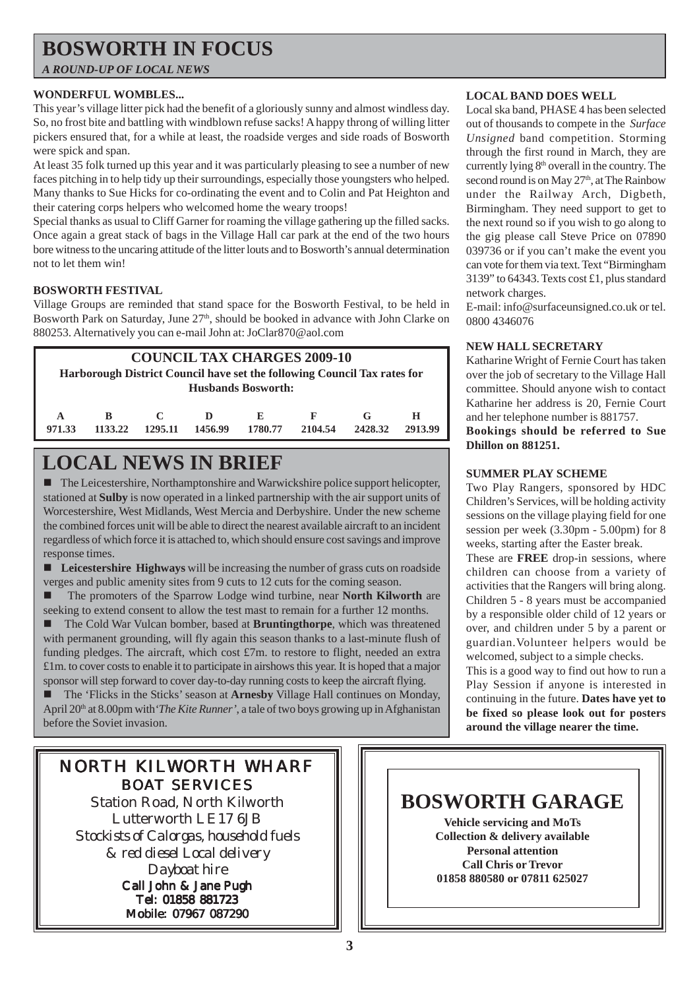## **BOSWORTH IN FOCUS**

*A ROUND-UP OF LOCAL NEWS*

#### **WONDERFUL WOMBLES...**

This year's village litter pick had the benefit of a gloriously sunny and almost windless day. So, no frost bite and battling with windblown refuse sacks! A happy throng of willing litter pickers ensured that, for a while at least, the roadside verges and side roads of Bosworth were spick and span.

At least 35 folk turned up this year and it was particularly pleasing to see a number of new faces pitching in to help tidy up their surroundings, especially those youngsters who helped. Many thanks to Sue Hicks for co-ordinating the event and to Colin and Pat Heighton and their catering corps helpers who welcomed home the weary troops!

Special thanks as usual to Cliff Garner for roaming the village gathering up the filled sacks. Once again a great stack of bags in the Village Hall car park at the end of the two hours bore witness to the uncaring attitude of the litter louts and to Bosworth's annual determination not to let them win!

#### **BOSWORTH FESTIVAL**

Village Groups are reminded that stand space for the Bosworth Festival, to be held in Bosworth Park on Saturday, June 27<sup>th</sup>, should be booked in advance with John Clarke on 880253. Alternatively you can e-mail John at: JoClar870@aol.com

| <b>COUNCIL TAX CHARGES 2009-10</b><br>Harborough District Council have set the following Council Tax rates for |         |         |         |         |                                      |         |  |  |
|----------------------------------------------------------------------------------------------------------------|---------|---------|---------|---------|--------------------------------------|---------|--|--|
|                                                                                                                |         |         |         |         |                                      |         |  |  |
|                                                                                                                |         |         |         |         |                                      |         |  |  |
|                                                                                                                |         |         |         |         |                                      |         |  |  |
| R                                                                                                              |         | D       | E       | F       | G                                    | н       |  |  |
|                                                                                                                |         |         |         |         |                                      |         |  |  |
|                                                                                                                |         |         |         |         |                                      | 2913.99 |  |  |
|                                                                                                                | 1133.22 | 1295.11 | 1456.99 | 1780.77 | <b>Husbands Bosworth:</b><br>2104.54 | 2428.32 |  |  |

## **LOCAL NEWS IN BRIEF**

! The Leicestershire, Northamptonshire and Warwickshire police support helicopter, stationed at **Sulby** is now operated in a linked partnership with the air support units of Worcestershire, West Midlands, West Mercia and Derbyshire. Under the new scheme the combined forces unit will be able to direct the nearest available aircraft to an incident regardless of which force it is attached to, which should ensure cost savings and improve response times.

! **Leicestershire Highways** will be increasing the number of grass cuts on roadside verges and public amenity sites from 9 cuts to 12 cuts for the coming season.

! The promoters of the Sparrow Lodge wind turbine, near **North Kilworth** are seeking to extend consent to allow the test mast to remain for a further 12 months.

! The Cold War Vulcan bomber, based at **Bruntingthorpe**, which was threatened with permanent grounding, will fly again this season thanks to a last-minute flush of funding pledges. The aircraft, which cost  $\text{\pounds}7m$ , to restore to flight, needed an extra £1m. to cover costs to enable it to participate in airshows this year. It is hoped that a major sponsor will step forward to cover day-to-day running costs to keep the aircraft flying.

! The 'Flicks in the Sticks' season at **Arnesby** Village Hall continues on Monday, April 20<sup>th</sup> at 8.00pm with *The Kite Runner'*, a tale of two boys growing up in Afghanistan before the Soviet invasion.

### NORTH KILWORTH WHARF BOAT SERVICES

Station Road, North Kilworth Lutterworth LE17 6JB *Stockists of Calorgas, household fuels & red diesel Local delivery Dayboat hire* Call John & Jane Pugh

Tel: 01858 881723 Mobile: 07967 087290

#### **LOCAL BAND DOES WELL**

Local ska band, PHASE 4 has been selected out of thousands to compete in the *Surface Unsigned* band competition. Storming through the first round in March, they are currently lying 8th overall in the country. The second round is on May 27<sup>th</sup>, at The Rainbow under the Railway Arch, Digbeth, Birmingham. They need support to get to the next round so if you wish to go along to the gig please call Steve Price on 07890 039736 or if you can't make the event you can vote for them via text. Text "Birmingham 3139" to 64343. Texts cost £1, plus standard network charges.

E-mail: info@surfaceunsigned.co.uk or tel. 0800 4346076

#### **NEW HALL SECRETARY**

Katharine Wright of Fernie Court has taken over the job of secretary to the Village Hall committee. Should anyone wish to contact Katharine her address is 20, Fernie Court and her telephone number is 881757.

**Bookings should be referred to Sue Dhillon on 881251.**

#### **SUMMER PLAY SCHEME**

Two Play Rangers, sponsored by HDC Children's Services, will be holding activity sessions on the village playing field for one session per week (3.30pm - 5.00pm) for 8 weeks, starting after the Easter break.

These are **FREE** drop-in sessions, where children can choose from a variety of activities that the Rangers will bring along. Children 5 - 8 years must be accompanied by a responsible older child of 12 years or over, and children under 5 by a parent or guardian.Volunteer helpers would be welcomed, subject to a simple checks.

This is a good way to find out how to run a Play Session if anyone is interested in continuing in the future. **Dates have yet to be fixed so please look out for posters around the village nearer the time.**

### **BOSWORTH GARAGE Vehicle servicing and MoTs Collection & delivery available Personal attention Call Chris or Trevor 01858 880580 or 07811 625027**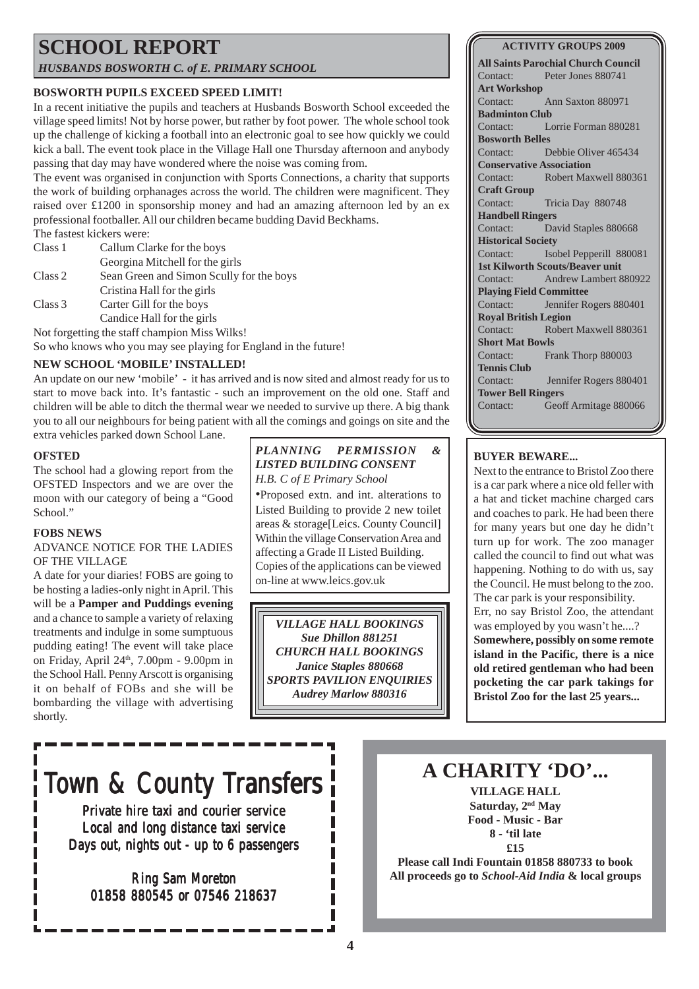## **SCHOOL REPORT**

*HUSBANDS BOSWORTH C. of E. PRIMARY SCHOOL*

#### **BOSWORTH PUPILS EXCEED SPEED LIMIT!**

In a recent initiative the pupils and teachers at Husbands Bosworth School exceeded the village speed limits! Not by horse power, but rather by foot power. The whole school took up the challenge of kicking a football into an electronic goal to see how quickly we could kick a ball. The event took place in the Village Hall one Thursday afternoon and anybody passing that day may have wondered where the noise was coming from.

The event was organised in conjunction with Sports Connections, a charity that supports the work of building orphanages across the world. The children were magnificent. They raised over £1200 in sponsorship money and had an amazing afternoon led by an ex professional footballer. All our children became budding David Beckhams.

The fastest kickers were:

| Class 1 | Callum Clarke for the boys                                                                                                                                             |
|---------|------------------------------------------------------------------------------------------------------------------------------------------------------------------------|
|         | Georgina Mitchell for the girls                                                                                                                                        |
| Class 2 | Sean Green and Simon Scully for the boys                                                                                                                               |
|         | Cristina Hall for the girls                                                                                                                                            |
| Class 3 | Carter Gill for the boys                                                                                                                                               |
|         | Candice Hall for the girls                                                                                                                                             |
|         | $\mathbf{M}$ , and $\mathbf{C}$ , and a set of the set of $\mathbf{C}$ . The set of the set of $\mathbf{M}$ $\mathbf{C}$ , and $\mathbf{M}$ is the set of $\mathbf{C}$ |

Not forgetting the staff champion Miss Wilks! So who knows who you may see playing for England in the future!

#### **NEW SCHOOL 'MOBILE' INSTALLED!**

An update on our new 'mobile' - it has arrived and is now sited and almost ready for us to start to move back into. It's fantastic - such an improvement on the old one. Staff and children will be able to ditch the thermal wear we needed to survive up there. A big thank you to all our neighbours for being patient with all the comings and goings on site and the extra vehicles parked down School Lane.

#### **OFSTED**

The school had a glowing report from the OFSTED Inspectors and we are over the moon with our category of being a "Good School."

#### **FOBS NEWS**

#### ADVANCE NOTICE FOR THE LADIES OF THE VILLAGE

A date for your diaries! FOBS are going to be hosting a ladies-only night in April. This will be a **Pamper and Puddings evening** and a chance to sample a variety of relaxing treatments and indulge in some sumptuous pudding eating! The event will take place on Friday, April 24<sup>th</sup>, 7.00pm - 9.00pm in the School Hall. Penny Arscott is organising it on behalf of FOBs and she will be bombarding the village with advertising shortly.

#### *PLANNING PERMISSION & LISTED BUILDING CONSENT H.B. C of E Primary School*

•Proposed extn. and int. alterations to Listed Building to provide 2 new toilet areas & storage[Leics. County Council] Within the village Conservation Area and affecting a Grade II Listed Building. Copies of the applications can be viewed on-line at www.leics.gov.uk

*VILLAGE HALL BOOKINGS Sue Dhillon 881251 CHURCH HALL BOOKINGS Janice Staples 880668 SPORTS PAVILION ENQUIRIES Audrey Marlow 880316*

#### **ACTIVITY GROUPS 2009**

**All Saints Parochial Church Council** Contact: Peter Jones 880741 **Art Workshop** Contact: Ann Saxton 880971 **Badminton Club** Contact: Lorrie Forman 880281 **Bosworth Belles** Contact: Debbie Oliver 465434 **Conservative Association** Contact: Robert Maxwell 880361 **Craft Group** Contact: Tricia Day 880748 **Handbell Ringers** Contact: David Staples 880668 **Historical Society** Contact: Isobel Pepperill 880081 **1st Kilworth Scouts/Beaver unit** Contact: Andrew Lambert 880922 **Playing Field Committee** Contact: Jennifer Rogers 880401 **Royal British Legion** Contact: Robert Maxwell 880361 **Short Mat Bowls** Contact: Frank Thorp 880003 **Tennis Club** Contact: Jennifer Rogers 880401 **Tower Bell Ringers** Contact: Geoff Armitage 880066

#### **BUYER BEWARE...**

Next to the entrance to Bristol Zoo there is a car park where a nice old feller with a hat and ticket machine charged cars and coaches to park. He had been there for many years but one day he didn't turn up for work. The zoo manager called the council to find out what was happening. Nothing to do with us, say the Council. He must belong to the zoo. The car park is your responsibility. Err, no say Bristol Zoo, the attendant was employed by you wasn't he....? **Somewhere, possibly on some remote island in the Pacific, there is a nice old retired gentleman who had been pocketing the car park takings for Bristol Zoo for the last 25 years...**

# Town & County Transfers

Private hire taxi and courier service Local and long distance taxi service Days out, nights out - up to 6 passengers

Ring Sam Moreton 01858 880545 or 07546 218637

### **A CHARITY 'DO'...**

**VILLAGE HALL Saturday, 2nd May Food - Music - Bar 8 - 'til late £15**

**Please call Indi Fountain 01858 880733 to book All proceeds go to** *School-Aid India* **& local groups**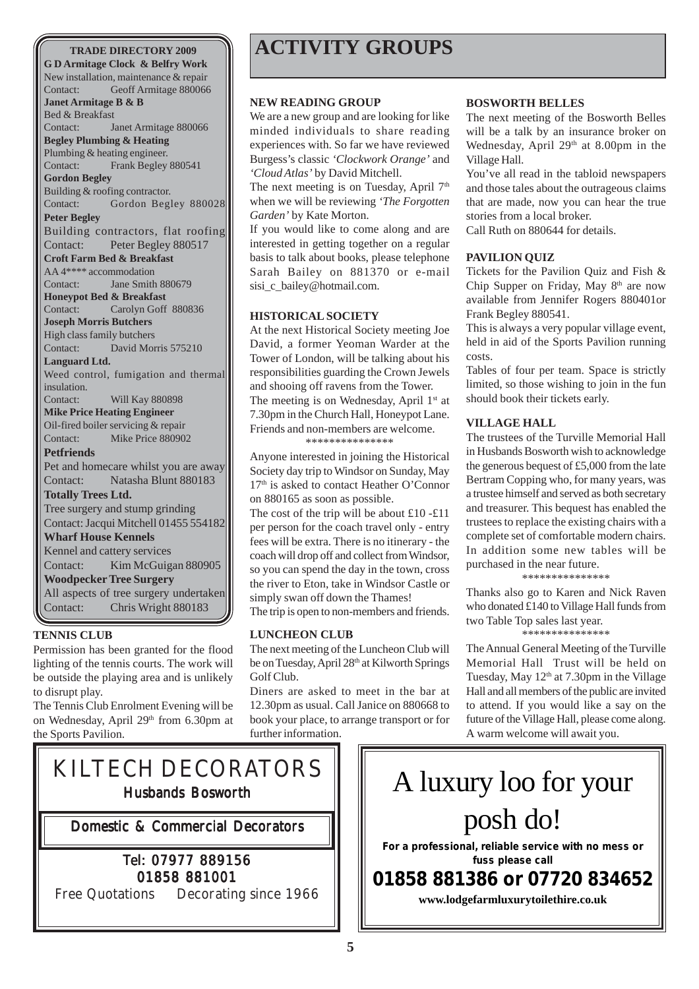#### **TRADE DIRECTORY 2009**

**G D Armitage Clock & Belfry Work** New installation, maintenance & repair Contact: Geoff Armitage 880066 **Janet Armitage B & B** Bed & Breakfast Contact: Janet Armitage 880066 **Begley Plumbing & Heating** Plumbing & heating engineer. Contact: Frank Begley 880541 **Gordon Begley** Building & roofing contractor. Contact: Gordon Begley 880028 **Peter Begley** Building contractors, flat roofing Contact: Peter Begley 880517 **Croft Farm Bed & Breakfast** AA 4\*\*\*\* accommodation Contact: Jane Smith 880679 **Honeypot Bed & Breakfast** Contact: Carolyn Goff 880836 **Joseph Morris Butchers** High class family butchers Contact: David Morris 575210 **Languard Ltd.** Weed control, fumigation and thermal insulation. Contact: Will Kay 880898 **Mike Price Heating Engineer** Oil-fired boiler servicing & repair Contact: Mike Price 880902 **Petfriends** Pet and homecare whilst you are away Contact: Natasha Blunt 880183 **Totally Trees Ltd.** Tree surgery and stump grinding Contact: Jacqui Mitchell 01455 554182 **Wharf House Kennels** Kennel and cattery services Contact: Kim McGuigan 880905 **Woodpecker Tree Surgery** All aspects of tree surgery undertaken Contact: Chris Wright 880183

#### **TENNIS CLUB**

Permission has been granted for the flood lighting of the tennis courts. The work will be outside the playing area and is unlikely to disrupt play.

The Tennis Club Enrolment Evening will be on Wednesday, April 29th from 6.30pm at the Sports Pavilion.

## **ACTIVITY GROUPS**

#### **NEW READING GROUP**

We are a new group and are looking for like minded individuals to share reading experiences with. So far we have reviewed Burgess's classic *'Clockwork Orange'* and *'Cloud Atlas'* by David Mitchell.

The next meeting is on Tuesday, April  $7<sup>th</sup>$ when we will be reviewing *'The Forgotten Garden'* by Kate Morton.

If you would like to come along and are interested in getting together on a regular basis to talk about books, please telephone Sarah Bailey on 881370 or e-mail sisi\_c\_bailey@hotmail.com.

#### **HISTORICAL SOCIETY**

At the next Historical Society meeting Joe David, a former Yeoman Warder at the Tower of London, will be talking about his responsibilities guarding the Crown Jewels and shooing off ravens from the Tower. The meeting is on Wednesday, April 1<sup>st</sup> at 7.30pm in the Church Hall, Honeypot Lane. Friends and non-members are welcome. \*\*\*\*\*\*\*\*\*\*\*\*\*\*\*

Anyone interested in joining the Historical Society day trip to Windsor on Sunday, May 17<sup>th</sup> is asked to contact Heather O'Connor on 880165 as soon as possible.

The cost of the trip will be about £10 -£11 per person for the coach travel only - entry fees will be extra. There is no itinerary - the coach will drop off and collect from Windsor, so you can spend the day in the town, cross the river to Eton, take in Windsor Castle or simply swan off down the Thames!

The trip is open to non-members and friends.

#### **LUNCHEON CLUB**

The next meeting of the Luncheon Club will be on Tuesday, April 28<sup>th</sup> at Kilworth Springs Golf Club.

Diners are asked to meet in the bar at 12.30pm as usual. Call Janice on 880668 to book your place, to arrange transport or for further information.

#### **BOSWORTH BELLES**

The next meeting of the Bosworth Belles will be a talk by an insurance broker on Wednesday, April 29<sup>th</sup> at 8.00pm in the Village Hall.

You've all read in the tabloid newspapers and those tales about the outrageous claims that are made, now you can hear the true stories from a local broker.

Call Ruth on 880644 for details.

#### **PAVILION QUIZ**

Tickets for the Pavilion Quiz and Fish & Chip Supper on Friday, May 8<sup>th</sup> are now available from Jennifer Rogers 880401or Frank Begley 880541.

This is always a very popular village event, held in aid of the Sports Pavilion running costs.

Tables of four per team. Space is strictly limited, so those wishing to join in the fun should book their tickets early.

#### **VILLAGE HALL**

The trustees of the Turville Memorial Hall in Husbands Bosworth wish to acknowledge the generous bequest of £5,000 from the late Bertram Copping who, for many years, was a trustee himself and served as both secretary and treasurer. This bequest has enabled the trustees to replace the existing chairs with a complete set of comfortable modern chairs. In addition some new tables will be purchased in the near future.

\*\*\*\*\*\*\*\*\*\*\*\*\*\*\*

Thanks also go to Karen and Nick Raven who donated £140 to Village Hall funds from two Table Top sales last year. \*\*\*\*\*\*\*\*\*\*\*\*\*\*\*

The Annual General Meeting of the Turville Memorial Hall Trust will be held on Tuesday, May 12<sup>th</sup> at 7.30pm in the Village Hall and all members of the public are invited to attend. If you would like a say on the future of the Village Hall, please come along. A warm welcome will await you.

# KILTECH DECORATORS Husbands Bosworth

Domestic & Commercial Decorators

### Tel: 07977 889156 01858 881001

Free Quotations Decorating since 1966

A luxury loo for your posh do!

**For a professional, reliable service with no mess or fuss please call**

## **01858 881386 or 07720 834652**

**www.lodgefarmluxurytoilethire.co.uk**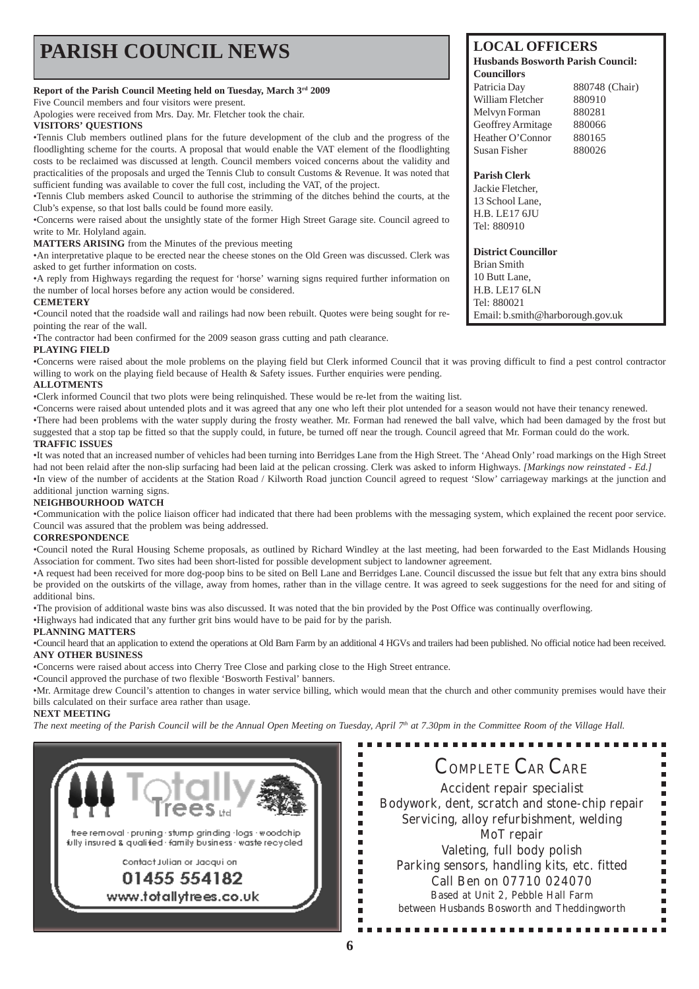| <b>PARISH COUNCIL NEWS</b>                                                                                                                                                                                      | <b>LOCAL OFFICERS</b><br><b>Husbands Bosworth Parish Council:</b><br><b>Councillors</b> |                |  |
|-----------------------------------------------------------------------------------------------------------------------------------------------------------------------------------------------------------------|-----------------------------------------------------------------------------------------|----------------|--|
| Report of the Parish Council Meeting held on Tuesday, March 3rd 2009                                                                                                                                            | Patricia Day                                                                            | 880748 (Chair) |  |
| Five Council members and four visitors were present.                                                                                                                                                            | William Fletcher                                                                        | 880910         |  |
| Apologies were received from Mrs. Day. Mr. Fletcher took the chair.                                                                                                                                             | Melvyn Forman                                                                           | 880281         |  |
| <b>VISITORS' QUESTIONS</b>                                                                                                                                                                                      | Geoffrey Armitage                                                                       | 880066         |  |
| •Tennis Club members outlined plans for the future development of the club and the progress of the                                                                                                              | Heather O'Connor                                                                        | 880165         |  |
| floodlighting scheme for the courts. A proposal that would enable the VAT element of the floodlighting<br>costs to be reclaimed was discussed at length. Council members voiced concerns about the validity and | Susan Fisher                                                                            | 880026         |  |
| practicalities of the proposals and urged the Tennis Club to consult Customs & Revenue. It was noted that                                                                                                       | <b>Parish Clerk</b>                                                                     |                |  |
| sufficient funding was available to cover the full cost, including the VAT, of the project.                                                                                                                     | Jackie Fletcher,                                                                        |                |  |
| •Tennis Club members asked Council to authorise the strimming of the ditches behind the courts, at the                                                                                                          | 13 School Lane,                                                                         |                |  |
| Club's expense, so that lost balls could be found more easily.                                                                                                                                                  | <b>H.B. LE17 6JU</b>                                                                    |                |  |
| •Concerns were raised about the unsightly state of the former High Street Garage site. Council agreed to                                                                                                        | Tel: 880910                                                                             |                |  |
| write to Mr. Holyland again.                                                                                                                                                                                    |                                                                                         |                |  |
| <b>MATTERS ARISING</b> from the Minutes of the previous meeting                                                                                                                                                 |                                                                                         |                |  |
| •An interpretative plaque to be erected near the cheese stones on the Old Green was discussed. Clerk was                                                                                                        | <b>District Councillor</b>                                                              |                |  |
| asked to get further information on costs.                                                                                                                                                                      | <b>Brian Smith</b>                                                                      |                |  |
| •A reply from Highways regarding the request for 'horse' warning signs required further information on                                                                                                          | 10 Butt Lane,                                                                           |                |  |
| the number of local horses before any action would be considered.                                                                                                                                               | <b>H.B. LE17 6LN</b>                                                                    |                |  |
| <b>CEMETERY</b>                                                                                                                                                                                                 | Tel: 880021                                                                             |                |  |
| •Council noted that the roadside wall and railings had now been rebuilt. Quotes were being sought for re-<br>Email: b.smith@harborough.gov.uk                                                                   |                                                                                         |                |  |
| pointing the rear of the wall.                                                                                                                                                                                  |                                                                                         |                |  |
| •The contractor had been confirmed for the 2009 season grass cutting and path clearance.                                                                                                                        |                                                                                         |                |  |

**PLAYING FIELD**

•Concerns were raised about the mole problems on the playing field but Clerk informed Council that it was proving difficult to find a pest control contractor willing to work on the playing field because of Health & Safety issues. Further enquiries were pending.

#### **ALLOTMENTS**

•Clerk informed Council that two plots were being relinquished. These would be re-let from the waiting list.

•Concerns were raised about untended plots and it was agreed that any one who left their plot untended for a season would not have their tenancy renewed. •There had been problems with the water supply during the frosty weather. Mr. Forman had renewed the ball valve, which had been damaged by the frost but suggested that a stop tap be fitted so that the supply could, in future, be turned off near the trough. Council agreed that Mr. Forman could do the work. **TRAFFIC ISSUES**

•It was noted that an increased number of vehicles had been turning into Berridges Lane from the High Street. The 'Ahead Only' road markings on the High Street had not been relaid after the non-slip surfacing had been laid at the pelican crossing. Clerk was asked to inform Highways. *[Markings now reinstated - Ed.]* •In view of the number of accidents at the Station Road / Kilworth Road junction Council agreed to request 'Slow' carriageway markings at the junction and additional junction warning signs.

#### **NEIGHBOURHOOD WATCH**

•Communication with the police liaison officer had indicated that there had been problems with the messaging system, which explained the recent poor service. Council was assured that the problem was being addressed.

#### **CORRESPONDENCE**

•Council noted the Rural Housing Scheme proposals, as outlined by Richard Windley at the last meeting, had been forwarded to the East Midlands Housing Association for comment. Two sites had been short-listed for possible development subject to landowner agreement.

•A request had been received for more dog-poop bins to be sited on Bell Lane and Berridges Lane. Council discussed the issue but felt that any extra bins should be provided on the outskirts of the village, away from homes, rather than in the village centre. It was agreed to seek suggestions for the need for and siting of additional bins.

•The provision of additional waste bins was also discussed. It was noted that the bin provided by the Post Office was continually overflowing.

•Highways had indicated that any further grit bins would have to be paid for by the parish.

#### **PLANNING MATTERS**

•Council heard that an application to extend the operations at Old Barn Farm by an additional 4 HGVs and trailers had been published. No official notice had been received. **ANY OTHER BUSINESS**

•Concerns were raised about access into Cherry Tree Close and parking close to the High Street entrance.

•Council approved the purchase of two flexible 'Bosworth Festival' banners.

•Mr. Armitage drew Council's attention to changes in water service billing, which would mean that the church and other community premises would have their bills calculated on their surface area rather than usage.

 $\blacksquare$ 

I.

I. É  $\blacksquare$ 

ī

ē

j.  $\blacksquare$ 

Ē

#### **NEXT MEETING**

*The next meeting of the Parish Council will be the Annual Open Meeting on Tuesday, April 7th at 7.30pm in the Committee Room of the Village Hall.*



COMPLETE CAR CARE Accident repair specialist Bodywork, dent, scratch and stone-chip repair Servicing, alloy refurbishment, welding MoT repair Valeting, full body polish Parking sensors, handling kits, etc. fitted Call Ben on 07710 024070 Based at Unit 2, Pebble Hall Farm between Husbands Bosworth and Theddingworth

Ē

 $\blacksquare$ 

 $\blacksquare$  $\blacksquare$ 

É

É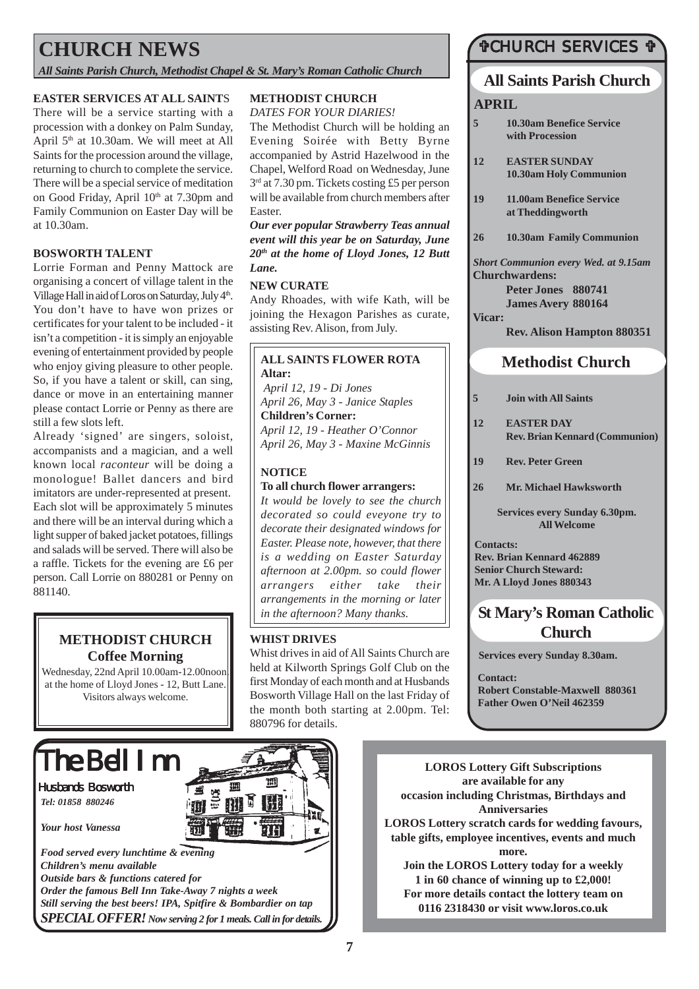## **CHURCH NEWS**

*All Saints Parish Church, Methodist Chapel & St. Mary's Roman Catholic Church*

#### **EASTER SERVICES AT ALL SAINT**S

There will be a service starting with a procession with a donkey on Palm Sunday, April 5th at 10.30am. We will meet at All Saints for the procession around the village, returning to church to complete the service. There will be a special service of meditation on Good Friday, April 10<sup>th</sup> at 7.30pm and Family Communion on Easter Day will be at 10.30am.

#### **BOSWORTH TALENT**

Lorrie Forman and Penny Mattock are organising a concert of village talent in the Village Hall in aid of Loros on Saturday, July 4<sup>th</sup>. You don't have to have won prizes or certificates for your talent to be included - it isn't a competition - it is simply an enjoyable evening of entertainment provided by people who enjoy giving pleasure to other people. So, if you have a talent or skill, can sing, dance or move in an entertaining manner please contact Lorrie or Penny as there are still a few slots left.

Already 'signed' are singers, soloist, accompanists and a magician, and a well known local *raconteur* will be doing a monologue! Ballet dancers and bird imitators are under-represented at present. Each slot will be approximately 5 minutes and there will be an interval during which a light supper of baked jacket potatoes, fillings and salads will be served. There will also be a raffle. Tickets for the evening are £6 per person. Call Lorrie on 880281 or Penny on 881140.

#### **METHODIST CHURCH Coffee Morning**

Wednesday, 22nd April 10.00am-12.00noon. at the home of Lloyd Jones - 12, Butt Lane. Visitors always welcome.

#### **METHODIST CHURCH** *DATES FOR YOUR DIARIES!*

The Methodist Church will be holding an Evening Soirée with Betty Byrne accompanied by Astrid Hazelwood in the Chapel, Welford Road on Wednesday, June 3rd at 7.30 pm. Tickets costing £5 per person will be available from church members after Easter.

*Our ever popular Strawberry Teas annual event will this year be on Saturday, June 20th at the home of Lloyd Jones, 12 Butt Lane.*

#### **NEW CURATE**

Andy Rhoades, with wife Kath, will be joining the Hexagon Parishes as curate, assisting Rev. Alison, from July.

#### **ALL SAINTS FLOWER ROTA Altar:**

 *April 12, 19 - Di Jones April 26, May 3 - Janice Staples* **Children's Corner:** *April 12, 19 - Heather O'Connor April 26, May 3 - Maxine McGinnis*

#### **NOTICE**

#### **To all church flower arrangers:**

*It would be lovely to see the church decorated so could eveyone try to decorate their designated windows for Easter. Please note, however, that there is a wedding on Easter Saturday afternoon at 2.00pm. so could flower arrangers either take their arrangements in the morning or later in the afternoon? Many thanks.*

#### **WHIST DRIVES**

Whist drives in aid of All Saints Church are held at Kilworth Springs Golf Club on the first Monday of each month and at Husbands Bosworth Village Hall on the last Friday of the month both starting at 2.00pm. Tel: 880796 for details.

### #CHURCH SERVICES #

#### **All Saints Parish Church**

#### **APRIL**

- **5 10.30am Benefice Service with Procession**
- **12 EASTER SUNDAY 10.30am Holy Communion**
- **19 11.00am Benefice Service at Theddingworth**
- **26 10.30am Family Communion**

*Short Communion every Wed. at 9.15am* **Churchwardens:**

> **Peter Jones 880741 James Avery 880164**

**Vicar:**

#### **Rev. Alison Hampton 880351**

### **Methodist Church**

- **5 Join with All Saints**
- **12 EASTER DAY Rev. Brian Kennard (Communion)**
- **19 Rev. Peter Green**
- **26 Mr. Michael Hawksworth**

**Services every Sunday 6.30pm. All Welcome**

**Contacts: Rev. Brian Kennard 462889 Senior Church Steward: Mr. A Lloyd Jones 880343**

### **St Mary's Roman Catholic Church**

**Services every Sunday 8.30am.**

**Contact: Robert Constable-Maxwell 880361 Father Owen O'Neil 462359**

The Bell Inn

Husbands Bosworth *Tel: 01858 880246*

*Your host Vanessa*

*Food served every lunchtime & evening Children's menu available Outside bars & functions catered for Order the famous Bell Inn Take-Away 7 nights a week Still serving the best beers! IPA, Spitfire & Bombardier on tap SPECIAL OFFER! Now serving 2 for 1 meals. Call in for details.*

**LOROS Lottery Gift Subscriptions are available for any occasion including Christmas, Birthdays and Anniversaries LOROS Lottery scratch cards for wedding favours, table gifts, employee incentives, events and much more. Join the LOROS Lottery today for a weekly 1 in 60 chance of winning up to £2,000!**

**For more details contact the lottery team on 0116 2318430 or visit www.loros.co.uk**